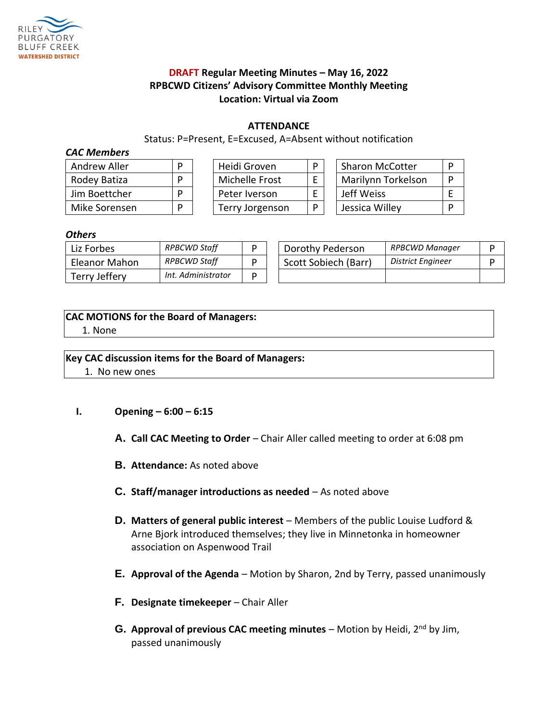

# **DRAFT Regular Meeting Minutes – May 16, 2022 RPBCWD Citizens' Advisory Committee Monthly Meeting Location: Virtual via Zoom**

#### **ATTENDANCE**

Status: P=Present, E=Excused, A=Absent without notification

#### *CAC Members*

| Andrew Aller  |  |  |  |  |  |
|---------------|--|--|--|--|--|
| Rodey Batiza  |  |  |  |  |  |
| Jim Boettcher |  |  |  |  |  |
| Mike Sorensen |  |  |  |  |  |

| Andrew Aller  |  | Heidi Groven    | D | <b>Sharon McCotter</b> |  |
|---------------|--|-----------------|---|------------------------|--|
| Rodey Batiza  |  | Michelle Frost  |   | Marilynn Torkelson     |  |
| Jim Boettcher |  | Peter Iverson   |   | Jeff Weiss             |  |
| Mike Sorensen |  | Terry Jorgenson |   | Jessica Willey         |  |

#### *Others*

| Liz Forbes    | RPBCWD Staff       | D | Dorothy Pederson     | RPBCWD Manager    |  |
|---------------|--------------------|---|----------------------|-------------------|--|
| Eleanor Mahon | RPBCWD Staff       | D | Scott Sobiech (Barr) | District Engineer |  |
| Terry Jeffery | Int. Administrator | ח |                      |                   |  |

# **CAC MOTIONS for the Board of Managers:**

1. None

# **Key CAC discussion items for the Board of Managers:**

1. No new ones

# **I. Opening – 6:00 – 6:15**

- **A.** Call CAC Meeting to Order Chair Aller called meeting to order at 6:08 pm
- **B. Attendance:** As noted above
- **C. Staff/manager introductions as needed**  As noted above
- **D. Matters of general public interest** Members of the public Louise Ludford & Arne Bjork introduced themselves; they live in Minnetonka in homeowner association on Aspenwood Trail
- **E. Approval of the Agenda** Motion by Sharon, 2nd by Terry, passed unanimously
- **F. Designate timekeeper** Chair Aller
- **G. Approval of previous CAC meeting minutes** Motion by Heidi, 2nd by Jim, passed unanimously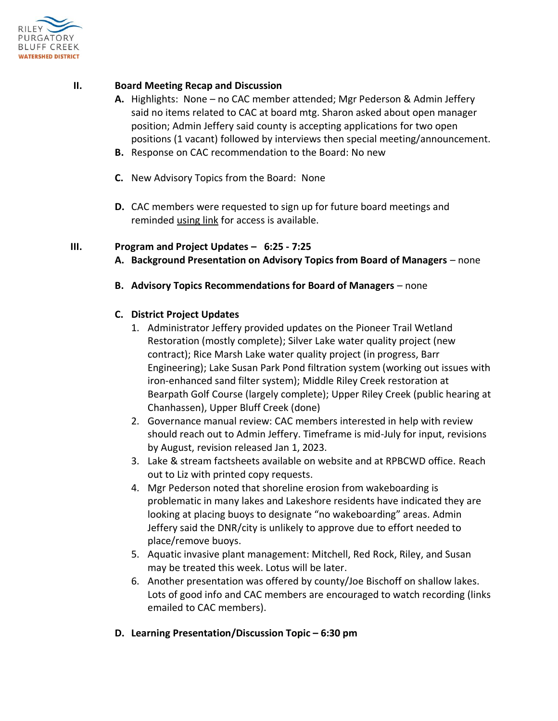

# **II. Board Meeting Recap and Discussion**

- **A.** Highlights: None no CAC member attended; Mgr Pederson & Admin Jeffery said no items related to CAC at board mtg. Sharon asked about open manager position; Admin Jeffery said county is accepting applications for two open positions (1 vacant) followed by interviews then special meeting/announcement.
- **B.** Response on CAC recommendation to the Board: No new
- **C.** New Advisory Topics from the Board: None
- **D.** CAC members were requested to sign up for future board meetings and reminded [using link](https://docs.google.com/spreadsheets/d/1OQxEIINonoR6M6y1os0QX6FPSLDq8XL1BeQIvEKiJ_E/edit#gid=718868060) for access is available.

#### **III. Program and Project Updates – 6:25 - 7:25**

- **A. Background Presentation on Advisory Topics from Board of Managers** none
- **B. Advisory Topics Recommendations for Board of Managers** none

### **C. District Project Updates**

- 1. Administrator Jeffery provided updates on the Pioneer Trail Wetland Restoration (mostly complete); Silver Lake water quality project (new contract); Rice Marsh Lake water quality project (in progress, Barr Engineering); Lake Susan Park Pond filtration system (working out issues with iron-enhanced sand filter system); Middle Riley Creek restoration at Bearpath Golf Course (largely complete); Upper Riley Creek (public hearing at Chanhassen), Upper Bluff Creek (done)
- 2. Governance manual review: CAC members interested in help with review should reach out to Admin Jeffery. Timeframe is mid-July for input, revisions by August, revision released Jan 1, 2023.
- 3. Lake & stream factsheets available on website and at RPBCWD office. Reach out to Liz with printed copy requests.
- 4. Mgr Pederson noted that shoreline erosion from wakeboarding is problematic in many lakes and Lakeshore residents have indicated they are looking at placing buoys to designate "no wakeboarding" areas. Admin Jeffery said the DNR/city is unlikely to approve due to effort needed to place/remove buoys.
- 5. Aquatic invasive plant management: Mitchell, Red Rock, Riley, and Susan may be treated this week. Lotus will be later.
- 6. Another presentation was offered by county/Joe Bischoff on shallow lakes. Lots of good info and CAC members are encouraged to watch recording (links emailed to CAC members).
- **D. Learning Presentation/Discussion Topic – 6:30 pm**